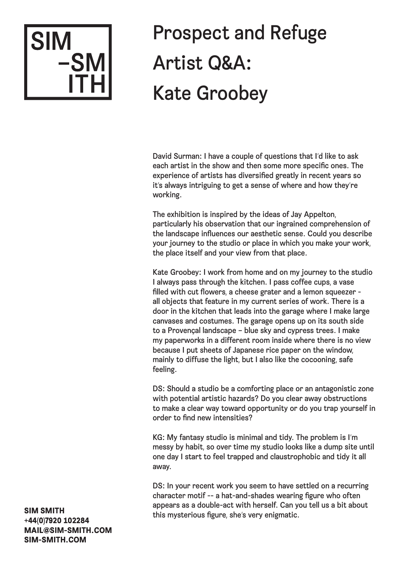## Prospect and Refuge Artist Q&A: Kate Groobey

David Surman: I have a couple of questions that I'd like to ask each artist in the show and then some more specific ones. The experience of artists has diversified greatly in recent years so it's always intriguing to get a sense of where and how they're working.

The exhibition is inspired by the ideas of Jay Appelton, particularly his observation that our ingrained comprehension of the landscape influences our aesthetic sense. Could you describe your journey to the studio or place in which you make your work, the place itself and your view from that place.

Kate Groobey: I work from home and on my journey to the studio I always pass through the kitchen. I pass coffee cups, a vase filled with cut flowers, a cheese grater and a lemon squeezer all objects that feature in my current series of work. There is a door in the kitchen that leads into the garage where I make large canvases and costumes. The garage opens up on its south side to a Provençal landscape – blue sky and cypress trees. I make my paperworks in a different room inside where there is no view because I put sheets of Japanese rice paper on the window, mainly to diffuse the light, but I also like the cocooning, safe feeling.

DS: Should a studio be a comforting place or an antagonistic zone with potential artistic hazards? Do you clear away obstructions to make a clear way toward opportunity or do you trap yourself in order to find new intensities?

KG: My fantasy studio is minimal and tidy. The problem is I'm messy by habit, so over time my studio looks like a dump site until one day I start to feel trapped and claustrophobic and tidy it all away.

DS: In your recent work you seem to have settled on a recurring character motif -- a hat-and-shades wearing figure who often appears as a double-act with herself. Can you tell us a bit about this mysterious figure, she's very enigmatic.

**SIM SMITH +44(0)7920 102284 MAIL@SIM-SMITH.COM SIM-SMITH.COM**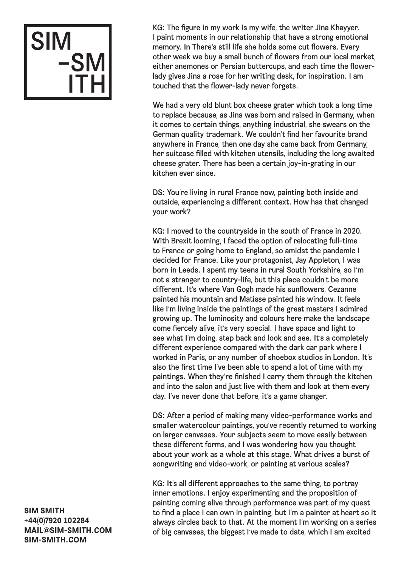KG: The figure in my work is my wife, the writer Jina Khayyer. I paint moments in our relationship that have a strong emotional memory. In There's still life she holds some cut flowers. Every other week we buy a small bunch of flowers from our local market, either anemones or Persian buttercups, and each time the flowerlady gives Jina a rose for her writing desk, for inspiration. I am touched that the flower-lady never forgets.

We had a very old blunt box cheese grater which took a long time to replace because, as Jina was born and raised in Germany, when it comes to certain things, anything industrial, she swears on the German quality trademark. We couldn't find her favourite brand anywhere in France, then one day she came back from Germany, her suitcase filled with kitchen utensils, including the long awaited cheese grater. There has been a certain joy-in-grating in our kitchen ever since.

DS: You're living in rural France now, painting both inside and outside, experiencing a different context. How has that changed your work?

KG: I moved to the countryside in the south of France in 2020. With Brexit looming, I faced the option of relocating full-time to France or going home to England, so amidst the pandemic I decided for France. Like your protagonist, Jay Appleton, I was born in Leeds. I spent my teens in rural South Yorkshire, so I'm not a stranger to country-life, but this place couldn't be more different. It's where Van Gogh made his sunflowers, Cezanne painted his mountain and Matisse painted his window. It feels like I'm living inside the paintings of the great masters I admired growing up. The luminosity and colours here make the landscape come fiercely alive, it's very special. I have space and light to see what I'm doing, step back and look and see. It's a completely different experience compared with the dark car park where I worked in Paris, or any number of shoebox studios in London. It's also the first time I've been able to spend a lot of time with my paintings. When they're finished I carry them through the kitchen and into the salon and just live with them and look at them every day. I've never done that before, it's a game changer.

DS: After a period of making many video-performance works and smaller watercolour paintings, you've recently returned to working on larger canvases. Your subjects seem to move easily between these different forms, and I was wondering how you thought about your work as a whole at this stage. What drives a burst of songwriting and video-work, or painting at various scales?

KG: It's all different approaches to the same thing, to portray inner emotions. I enjoy experimenting and the proposition of painting coming alive through performance was part of my quest to find a place I can own in painting, but I'm a painter at heart so it always circles back to that. At the moment I'm working on a series of big canvases, the biggest I've made to date, which I am excited

**SIM SMITH +44(0)7920 102284 MAIL@SIM-SMITH.COM SIM-SMITH.COM**